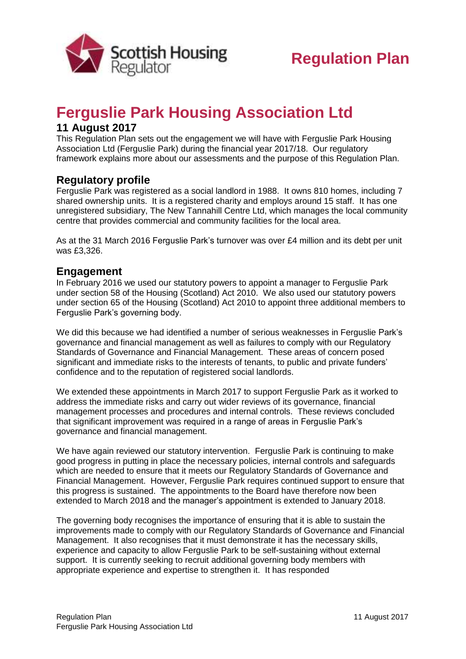

## **Ferguslie Park Housing Association Ltd**

## **11 August 2017**

This Regulation Plan sets out the engagement we will have with Ferguslie Park Housing Association Ltd (Ferguslie Park) during the financial year 2017/18. Our regulatory framework explains more about our assessments and the purpose of this Regulation Plan.

## **Regulatory profile**

Ferguslie Park was registered as a social landlord in 1988. It owns 810 homes, including 7 shared ownership units. It is a registered charity and employs around 15 staff. It has one unregistered subsidiary, The New Tannahill Centre Ltd, which manages the local community centre that provides commercial and community facilities for the local area.

As at the 31 March 2016 Ferguslie Park's turnover was over £4 million and its debt per unit was £3,326.

## **Engagement**

In February 2016 we used our statutory powers to appoint a manager to Ferguslie Park under section 58 of the Housing (Scotland) Act 2010. We also used our statutory powers under section 65 of the Housing (Scotland) Act 2010 to appoint three additional members to Ferguslie Park's governing body.

We did this because we had identified a number of serious weaknesses in Ferguslie Park's governance and financial management as well as failures to comply with our Regulatory Standards of Governance and Financial Management. These areas of concern posed significant and immediate risks to the interests of tenants, to public and private funders' confidence and to the reputation of registered social landlords.

We extended these appointments in March 2017 to support Ferguslie Park as it worked to address the immediate risks and carry out wider reviews of its governance, financial management processes and procedures and internal controls. These reviews concluded that significant improvement was required in a range of areas in Ferguslie Park's governance and financial management.

We have again reviewed our statutory intervention. Ferguslie Park is continuing to make good progress in putting in place the necessary policies, internal controls and safeguards which are needed to ensure that it meets our Regulatory Standards of Governance and Financial Management. However, Ferguslie Park requires continued support to ensure that this progress is sustained. The appointments to the Board have therefore now been extended to March 2018 and the manager's appointment is extended to January 2018.

The governing body recognises the importance of ensuring that it is able to sustain the improvements made to comply with our Regulatory Standards of Governance and Financial Management. It also recognises that it must demonstrate it has the necessary skills, experience and capacity to allow Ferguslie Park to be self-sustaining without external support. It is currently seeking to recruit additional governing body members with appropriate experience and expertise to strengthen it. It has responded